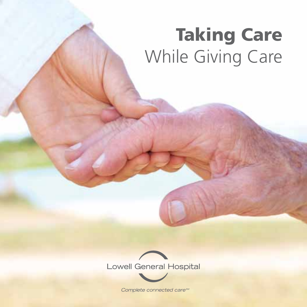# Taking Care While Giving Care



Complete connected cares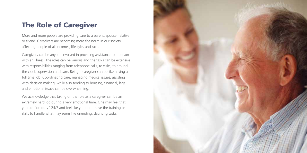## The Role of Caregiver

More and more people are providing care to a parent, spouse, relative or friend. Caregivers are becoming more the norm in our society affecting people of all incomes, lifestyles and race.

Caregivers can be anyone involved in providing assistance to a person with an illness. The roles can be various and the tasks can be extensive with responsibilities ranging from telephone calls, to visits, to around the clock supervision and care. Being a caregiver can be like having a full time job. Coordinating care, managing medical issues, assisting with decision making, while also tending to housing, financial, legal and emotional issues can be overwhelming.

We acknowledge that taking on the role as a caregiver can be an extremely hard job during a very emotional time. One may feel that you are "on duty" 24/7 and feel like you don't have the training or skills to handle what may seem like unending, daunting tasks.

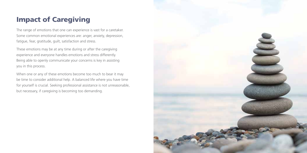# Impact of Caregiving

The range of emotions that one can experience is vast for a caretaker. Some common emotional experiences are: anger, anxiety, depression, fatigue, fear, gratitude, guilt, satisfaction and stress.

These emotions may be at any time during or after the caregiving experience and everyone handles emotions and stress differently. Being able to openly communicate your concerns is key in assisting you in this process.

When one or any of these emotions become too much to bear it may be time to consider additional help. A balanced life where you have time for yourself is crucial. Seeking professional assistance is not unreasonable, but necessary, if caregiving is becoming too demanding.

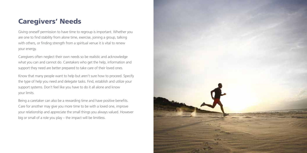### Caregivers' Needs

Giving oneself permission to have time to regroup is important. Whether you are one to find stability from alone time, exercise, joining a group, talking with others, or finding strength from a spiritual venue it is vital to renew your energy.

Caregivers often neglect their own needs so be realistic and acknowledge what you can and cannot do. Caretakers who get the help, information and support they need are better prepared to take care of their loved ones.

Know that many people want to help but aren't sure how to proceed. Specify the type of help you need and delegate tasks. Find, establish and utilize your support systems. Don't feel like you have to do it all alone and know your limits.

Being a caretaker can also be a rewarding time and have positive benefits. Care for another may give you more time to be with a loved one, improve your relationship and appreciate the small things you always valued. However big or small of a role you play – the impact will be limitless.